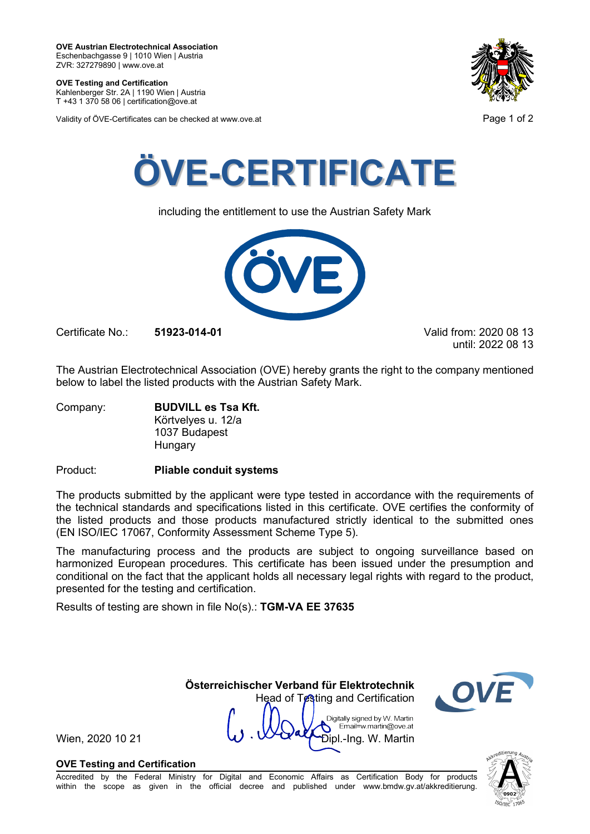**OVE Testing and Certification** Kahlenberger Str. 2A | 1190 Wien | Austria

T +43 1 370 58 06 | certification@ove.at

Validity of ÖVE-Certificates can be checked at www.ove.at **Page 1 of 2** and 2





including the entitlement to use the Austrian Safety Mark



Certificate No.: **51923-014-01** Valid from: 2020 08 13

until: 2022 08 13

The Austrian Electrotechnical Association (OVE) hereby grants the right to the company mentioned below to label the listed products with the Austrian Safety Mark.

Company: **BUDVILL es Tsa Kft.** Körtvelyes u. 12/a 1037 Budapest Hungary

Product: **Pliable conduit systems**

The products submitted by the applicant were type tested in accordance with the requirements of the technical standards and specifications listed in this certificate. OVE certifies the conformity of the listed products and those products manufactured strictly identical to the submitted ones (EN ISO/IEC 17067, Conformity Assessment Scheme Type 5).

The manufacturing process and the products are subject to ongoing surveillance based on harmonized European procedures. This certificate has been issued under the presumption and conditional on the fact that the applicant holds all necessary legal rights with regard to the product, presented for the testing and certification.

Results of testing are shown in file No(s).: **TGM-VA EE 37635**

 **Österreichischer Verband für Elektrotechnik** Head of Testing and Certification Digitally signed by W. Martin Email=w.martin@ove.at

Wien, 2020 10 21  $\mathbf{W} \cdot \mathbf{W}$   $\mathbf{W}$   $\mathbf{W}$   $\mathbf{D}$   $\mathbf{p}$   $\mathbf{L}$   $\mathbf{P}$   $\mathbf{D}$   $\mathbf{p}$   $\mathbf{L}$   $\mathbf{P}$   $\mathbf{S}$   $\mathbf{R}$   $\mathbf{S}$   $\mathbf{R}$   $\mathbf{S}$   $\mathbf{S}$   $\mathbf{S}$   $\mathbf{S}$   $\mathbf{S}$   $\mathbf{S}$   $\mathbf{S}$ 

# **OVE Testing and Certification**

Accredited by the Federal Ministry for Digital and Economic Affairs as Certification Body for products within the scope as given in the official decree and published under www.bmdw.gv.at/akkreditierung.